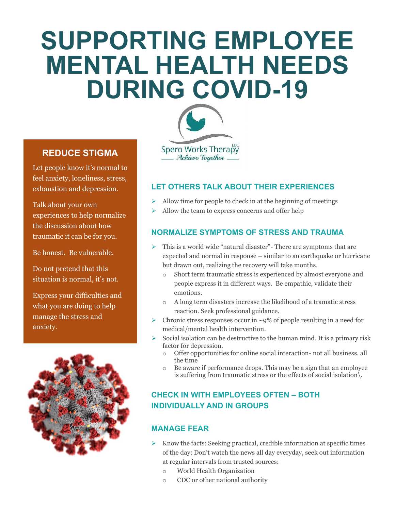# **SUPPORTING EMPLOYEE MENTAL HEALTH NEEDS DURING COVID-19**



# **REDUCE STIGMA**

Let people know it's normal to feel anxiety, loneliness, stress, exhaustion and depression.

Talk about your own experiences to help normalize the discussion about how traumatic it can be for you.

Be honest. Be vulnerable.

Do not pretend that this situation is normal, it's not.

Express your difficulties and what you are doing to help manage the stress and anxiety.



**LET OTHERS TALK ABOUT THEIR EXPERIENCES**

- ➢ Allow time for people to check in at the beginning of meetings
- ➢ Allow the team to express concerns and offer help

## **NORMALIZE SYMPTOMS OF STRESS AND TRAUMA**

- $\triangleright$  This is a world wide "natural disaster"- There are symptoms that are expected and normal in response – similar to an earthquake or hurricane but drawn out, realizing the recovery will take months.
	- o Short term traumatic stress is experienced by almost everyone and people express it in different ways. Be empathic, validate their emotions.
	- o A long term disasters increase the likelihood of a tramatic stress reaction. Seek professional guidance.
- $\triangleright$  Chronic stress responses occur in ~9% of people resulting in a need for medical/mental health intervention.
- $\triangleright$  Social isolation can be destructive to the human mind. It is a primary risk factor for depression.
	- Offer opportunities for online social interaction- not all business, all the time
	- o Be aware if performance drops. This may be a sign that an employee is suffering from traumatic stress or the effects of social isolation\.

# **CHECK IN WITH EMPLOYEES OFTEN – BOTH INDIVIDUALLY AND IN GROUPS**

#### **MANAGE FEAR**

- Know the facts: Seeking practical, credible information at specific times of the day: Don't watch the news all day everyday, seek out information at regular intervals from trusted sources:
	- o World Health Organization
	- o CDC or other national authority